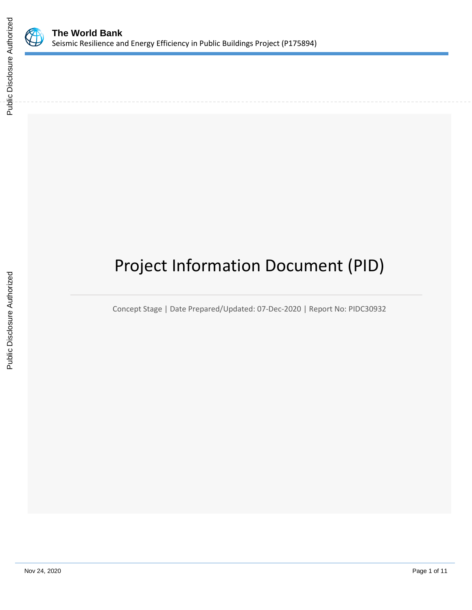

# Project Information Document (PID)

Concept Stage | Date Prepared/Updated: 07-Dec-2020 | Report No: PIDC30932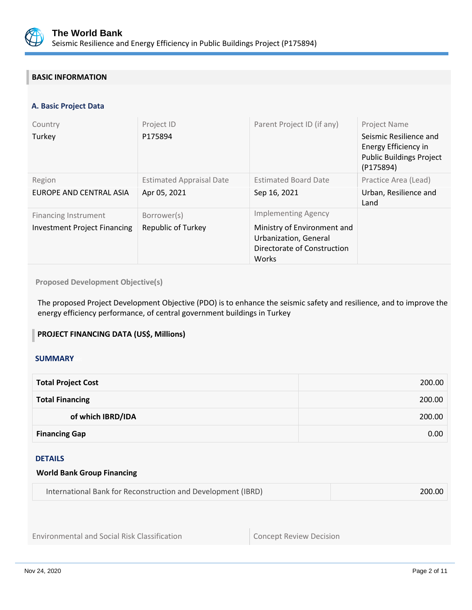

## **BASIC INFORMATION**

#### **A. Basic Project Data**

| Country<br>Turkey                                                  | Project ID<br>P175894                           | Parent Project ID (if any)                                                                                                 | <b>Project Name</b><br>Seismic Resilience and<br>Energy Efficiency in<br><b>Public Buildings Project</b><br>(P175894) |
|--------------------------------------------------------------------|-------------------------------------------------|----------------------------------------------------------------------------------------------------------------------------|-----------------------------------------------------------------------------------------------------------------------|
| Region<br>EUROPE AND CENTRAL ASIA                                  | <b>Estimated Appraisal Date</b><br>Apr 05, 2021 | <b>Estimated Board Date</b><br>Sep 16, 2021                                                                                | Practice Area (Lead)<br>Urban, Resilience and<br>Land                                                                 |
| <b>Financing Instrument</b><br><b>Investment Project Financing</b> | Borrower(s)<br><b>Republic of Turkey</b>        | <b>Implementing Agency</b><br>Ministry of Environment and<br>Urbanization, General<br>Directorate of Construction<br>Works |                                                                                                                       |

#### **Proposed Development Objective(s)**

The proposed Project Development Objective (PDO) is to enhance the seismic safety and resilience, and to improve the energy efficiency performance, of central government buildings in Turkey

#### **PROJECT FINANCING DATA (US\$, Millions)**

#### **SUMMARY**

| <b>Total Project Cost</b> | 200.00 |
|---------------------------|--------|
| <b>Total Financing</b>    | 200.00 |
| of which IBRD/IDA         | 200.00 |
| <b>Financing Gap</b>      | 0.00   |

#### DETAILS

#### **World Bank Group Financing**

| International Bank for Reconstruction and Development (IBRD) | 200.00 |
|--------------------------------------------------------------|--------|
|--------------------------------------------------------------|--------|

Environmental and Social Risk Classification **Concept Review Decision**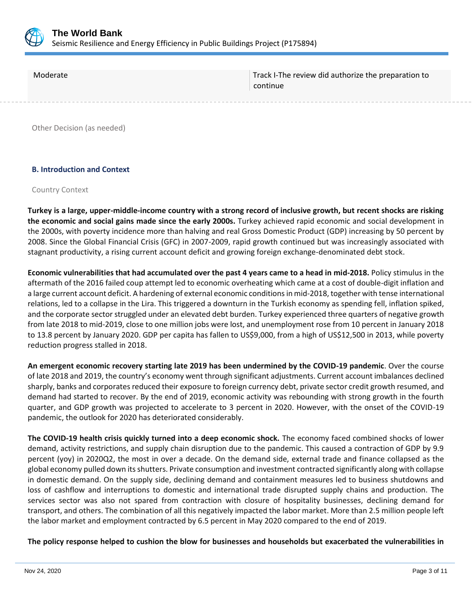

| Moderate | Track I-The review did authorize the preparation to<br>continue |
|----------|-----------------------------------------------------------------|
|          |                                                                 |

Other Decision (as needed)

#### **B. Introduction and Context**

#### Country Context

**Turkey is a large, upper-middle-income country with a strong record of inclusive growth, but recent shocks are risking the economic and social gains made since the early 2000s.** Turkey achieved rapid economic and social development in the 2000s, with poverty incidence more than halving and real Gross Domestic Product (GDP) increasing by 50 percent by 2008. Since the Global Financial Crisis (GFC) in 2007-2009, rapid growth continued but was increasingly associated with stagnant productivity, a rising current account deficit and growing foreign exchange-denominated debt stock.

**Economic vulnerabilities that had accumulated over the past 4 years came to a head in mid-2018.** Policy stimulus in the aftermath of the 2016 failed coup attempt led to economic overheating which came at a cost of double-digit inflation and a large current account deficit. A hardening of external economic conditions in mid-2018, together with tense international relations, led to a collapse in the Lira. This triggered a downturn in the Turkish economy as spending fell, inflation spiked, and the corporate sector struggled under an elevated debt burden. Turkey experienced three quarters of negative growth from late 2018 to mid-2019, close to one million jobs were lost, and unemployment rose from 10 percent in January 2018 to 13.8 percent by January 2020. GDP per capita has fallen to US\$9,000, from a high of US\$12,500 in 2013, while poverty reduction progress stalled in 2018.

**An emergent economic recovery starting late 2019 has been undermined by the COVID-19 pandemic**. Over the course of late 2018 and 2019, the country's economy went through significant adjustments. Current account imbalances declined sharply, banks and corporates reduced their exposure to foreign currency debt, private sector credit growth resumed, and demand had started to recover. By the end of 2019, economic activity was rebounding with strong growth in the fourth quarter, and GDP growth was projected to accelerate to 3 percent in 2020. However, with the onset of the COVID-19 pandemic, the outlook for 2020 has deteriorated considerably.

**The COVID-19 health crisis quickly turned into a deep economic shock.** The economy faced combined shocks of lower demand, activity restrictions, and supply chain disruption due to the pandemic. This caused a contraction of GDP by 9.9 percent (yoy) in 2020Q2, the most in over a decade. On the demand side, external trade and finance collapsed as the global economy pulled down its shutters. Private consumption and investment contracted significantly along with collapse in domestic demand. On the supply side, declining demand and containment measures led to business shutdowns and loss of cashflow and interruptions to domestic and international trade disrupted supply chains and production. The services sector was also not spared from contraction with closure of hospitality businesses, declining demand for transport, and others. The combination of all this negatively impacted the labor market. More than 2.5 million people left the labor market and employment contracted by 6.5 percent in May 2020 compared to the end of 2019.

**The policy response helped to cushion the blow for businesses and households but exacerbated the vulnerabilities in**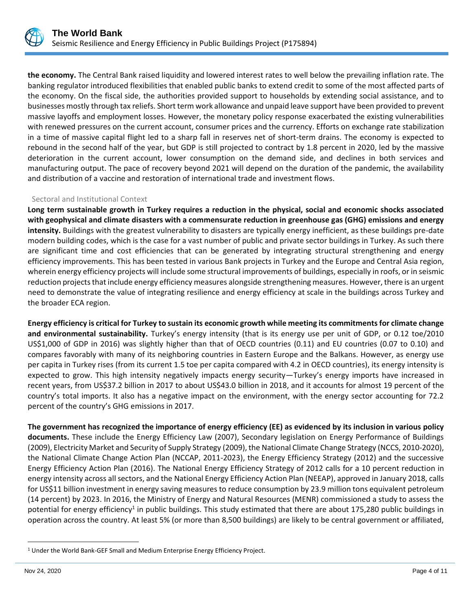

**the economy.** The Central Bank raised liquidity and lowered interest rates to well below the prevailing inflation rate. The banking regulator introduced flexibilities that enabled public banks to extend credit to some of the most affected parts of the economy. On the fiscal side, the authorities provided support to households by extending social assistance, and to businesses mostly through tax reliefs. Short term work allowance and unpaid leave support have been provided to prevent massive layoffs and employment losses. However, the monetary policy response exacerbated the existing vulnerabilities with renewed pressures on the current account, consumer prices and the currency. Efforts on exchange rate stabilization in a time of massive capital flight led to a sharp fall in reserves net of short-term drains. The economy is expected to rebound in the second half of the year, but GDP is still projected to contract by 1.8 percent in 2020, led by the massive deterioration in the current account, lower consumption on the demand side, and declines in both services and manufacturing output. The pace of recovery beyond 2021 will depend on the duration of the pandemic, the availability and distribution of a vaccine and restoration of international trade and investment flows.

#### Sectoral and Institutional Context

**Long term sustainable growth in Turkey requires a reduction in the physical, social and economic shocks associated with geophysical and climate disasters with a commensurate reduction in greenhouse gas (GHG) emissions and energy intensity.** Buildings with the greatest vulnerability to disasters are typically energy inefficient, as these buildings pre-date modern building codes, which is the case for a vast number of public and private sector buildings in Turkey. As such there are significant time and cost efficiencies that can be generated by integrating structural strengthening and energy efficiency improvements. This has been tested in various Bank projects in Turkey and the Europe and Central Asia region, wherein energy efficiency projects will include some structural improvements of buildings, especially in roofs, or in seismic reduction projects that include energy efficiency measures alongside strengthening measures. However, there is an urgent need to demonstrate the value of integrating resilience and energy efficiency at scale in the buildings across Turkey and the broader ECA region.

**Energy efficiency is critical for Turkey to sustain its economic growth while meeting its commitments for climate change and environmental sustainability.** Turkey's energy intensity (that is its energy use per unit of GDP, or 0.12 toe/2010 US\$1,000 of GDP in 2016) was slightly higher than that of OECD countries (0.11) and EU countries (0.07 to 0.10) and compares favorably with many of its neighboring countries in Eastern Europe and the Balkans. However, as energy use per capita in Turkey rises (from its current 1.5 toe per capita compared with 4.2 in OECD countries), its energy intensity is expected to grow. This high intensity negatively impacts energy security—Turkey's energy imports have increased in recent years, from US\$37.2 billion in 2017 to about US\$43.0 billion in 2018, and it accounts for almost 19 percent of the country's total imports. It also has a negative impact on the environment, with the energy sector accounting for 72.2 percent of the country's GHG emissions in 2017.

**The government has recognized the importance of energy efficiency (EE) as evidenced by its inclusion in various policy documents.** These include the Energy Efficiency Law (2007), Secondary legislation on Energy Performance of Buildings (2009), Electricity Market and Security of Supply Strategy (2009), the National Climate Change Strategy (NCCS, 2010-2020), the National Climate Change Action Plan (NCCAP, 2011-2023), the Energy Efficiency Strategy (2012) and the successive Energy Efficiency Action Plan (2016). The National Energy Efficiency Strategy of 2012 calls for a 10 percent reduction in energy intensity across all sectors, and the National Energy Efficiency Action Plan (NEEAP), approved in January 2018, calls for US\$11 billion investment in energy saving measures to reduce consumption by 23.9 million tons equivalent petroleum (14 percent) by 2023. In 2016, the Ministry of Energy and Natural Resources (MENR) commissioned a study to assess the potential for energy efficiency<sup>1</sup> in public buildings. This study estimated that there are about 175,280 public buildings in operation across the country. At least 5% (or more than 8,500 buildings) are likely to be central government or affiliated,

<sup>&</sup>lt;sup>1</sup> Under the World Bank-GEF Small and Medium Enterprise Energy Efficiency Project.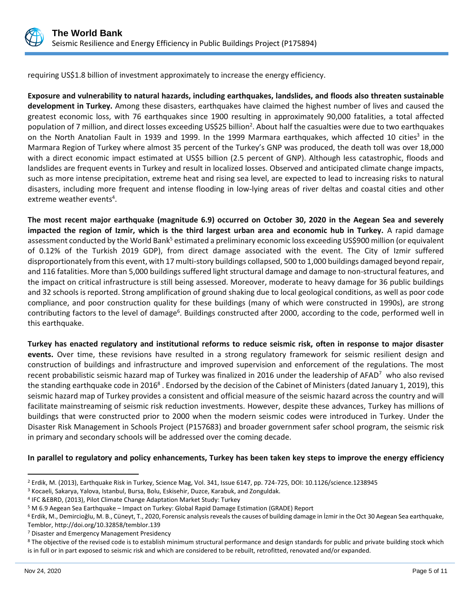

requiring US\$1.8 billion of investment approximately to increase the energy efficiency.

**Exposure and vulnerability to natural hazards, including earthquakes, landslides, and floods also threaten sustainable development in Turkey.** Among these disasters, earthquakes have claimed the highest number of lives and caused the greatest economic loss, with 76 earthquakes since 1900 resulting in approximately 90,000 fatalities, a total affected population of 7 million, and direct losses exceeding US\$25 billion<sup>2</sup>. About half the casualties were due to two earthquakes on the North Anatolian Fault in 1939 and 1999. In the 1999 Marmara earthquakes, which affected 10 cities<sup>3</sup> in the Marmara Region of Turkey where almost 35 percent of the Turkey's GNP was produced, the death toll was over 18,000 with a direct economic impact estimated at US\$5 billion (2.5 percent of GNP). Although less catastrophic, floods and landslides are frequent events in Turkey and result in localized losses. Observed and anticipated climate change impacts, such as more intense precipitation, extreme heat and rising sea level, are expected to lead to increasing risks to natural disasters, including more frequent and intense flooding in low-lying areas of river deltas and coastal cities and other extreme weather events<sup>4</sup>.

**The most recent major earthquake (magnitude 6.9) occurred on October 30, 2020 in the Aegean Sea and severely impacted the region of Izmir, which is the third largest urban area and economic hub in Turkey.** A rapid damage assessment conducted by the World Bank<sup>5</sup> estimated a preliminary economic loss exceeding US\$900 million (or equivalent of 0.12% of the Turkish 2019 GDP), from direct damage associated with the event. The City of Izmir suffered disproportionately from this event, with 17 multi-story buildings collapsed, 500 to 1,000 buildings damaged beyond repair, and 116 fatalities. More than 5,000 buildings suffered light structural damage and damage to non-structural features, and the impact on critical infrastructure is still being assessed. Moreover, moderate to heavy damage for 36 public buildings and 32 schools is reported. Strong amplification of ground shaking due to local geological conditions, as well as poor code compliance, and poor construction quality for these buildings (many of which were constructed in 1990s), are strong contributing factors to the level of damage<sup>6</sup>. Buildings constructed after 2000, according to the code, performed well in this earthquake.

**Turkey has enacted regulatory and institutional reforms to reduce seismic risk, often in response to major disaster events.** Over time, these revisions have resulted in a strong regulatory framework for seismic resilient design and construction of buildings and infrastructure and improved supervision and enforcement of the regulations. The most recent probabilistic seismic hazard map of Turkey was finalized in 2016 under the leadership of AFAD<sup>7</sup> who also revised the standing earthquake code in 2016<sup>8</sup>. Endorsed by the decision of the Cabinet of Ministers (dated January 1, 2019), this seismic hazard map of Turkey provides a consistent and official measure of the seismic hazard across the country and will facilitate mainstreaming of seismic risk reduction investments. However, despite these advances, Turkey has millions of buildings that were constructed prior to 2000 when the modern seismic codes were introduced in Turkey. Under the Disaster Risk Management in Schools Project (P157683) and broader government safer school program, the seismic risk in primary and secondary schools will be addressed over the coming decade.

**In parallel to regulatory and policy enhancements, Turkey has been taken key steps to improve the energy efficiency** 

<sup>2</sup> Erdik, M. (2013), Earthquake Risk in Turkey, Science Mag, Vol. 341, Issue 6147, pp. 724-725, DOI: 10.1126/science.1238945

<sup>3</sup> Kocaeli, Sakarya, Yalova, Istanbul, Bursa, Bolu, Eskisehir, Duzce, Karabuk, and Zonguldak.

<sup>4</sup> IFC &EBRD, (2013), Pilot Climate Change Adaptation Market Study: Turkey

<sup>5</sup> M 6.9 Aegean Sea Earthquake – Impact on Turkey: Global Rapid Damage Estimation (GRADE) Report

<sup>6</sup> Erdik, M., Demircioğlu, M. B., Cüneyt, T., 2020, Forensic analysis reveals the causes of building damage in İzmir in the Oct 30 Aegean Sea earthquake, Temblor, http://doi.org/10.32858/temblor.139

<sup>7</sup> Disaster and Emergency Management Presidency

<sup>&</sup>lt;sup>8</sup> The objective of the revised code is to establish minimum structural performance and design standards for public and private building stock which is in full or in part exposed to seismic risk and which are considered to be rebuilt, retrofitted, renovated and/or expanded.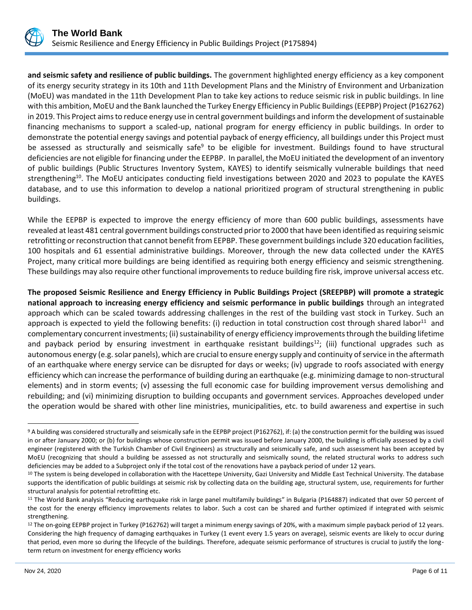

**and seismic safety and resilience of public buildings.** The government highlighted energy efficiency as a key component of its energy security strategy in its 10th and 11th Development Plans and the Ministry of Environment and Urbanization (MoEU) was mandated in the 11th Development Plan to take key actions to reduce seismic risk in public buildings. In line with this ambition, MoEU and the Bank launched the Turkey Energy Efficiency in Public Buildings (EEPBP) Project (P162762) in 2019. This Project aims to reduce energy use in central government buildings and inform the development of sustainable financing mechanisms to support a scaled-up, national program for energy efficiency in public buildings. In order to demonstrate the potential energy savings and potential payback of energy efficiency, all buildings under this Project must be assessed as structurally and seismically safe<sup>9</sup> to be eligible for investment. Buildings found to have structural deficiencies are not eligible for financing under the EEPBP. In parallel, the MoEU initiated the development of an inventory of public buildings (Public Structures Inventory System, KAYES) to identify seismically vulnerable buildings that need strengthening<sup>10</sup>. The MoEU anticipates conducting field investigations between 2020 and 2023 to populate the KAYES database, and to use this information to develop a national prioritized program of structural strengthening in public buildings.

While the EEPBP is expected to improve the energy efficiency of more than 600 public buildings, assessments have revealed at least 481 central government buildings constructed prior to 2000 that have been identified as requiring seismic retrofitting or reconstruction that cannot benefit from EEPBP. These government buildings include 320 education facilities, 100 hospitals and 61 essential administrative buildings. Moreover, through the new data collected under the KAYES Project, many critical more buildings are being identified as requiring both energy efficiency and seismic strengthening. These buildings may also require other functional improvements to reduce building fire risk, improve universal access etc.

**The proposed Seismic Resilience and Energy Efficiency in Public Buildings Project (SREEPBP) will promote a strategic national approach to increasing energy efficiency and seismic performance in public buildings** through an integrated approach which can be scaled towards addressing challenges in the rest of the building vast stock in Turkey. Such an approach is expected to yield the following benefits: (i) reduction in total construction cost through shared labor<sup>11</sup> and complementary concurrent investments; (ii) sustainability of energy efficiency improvements through the building lifetime and payback period by ensuring investment in earthquake resistant buildings<sup>12</sup>; (iii) functional upgrades such as autonomous energy (e.g. solar panels), which are crucial to ensure energy supply and continuity of service in the aftermath of an earthquake where energy service can be disrupted for days or weeks; (iv) upgrade to roofs associated with energy efficiency which can increase the performance of building during an earthquake (e.g. minimizing damage to non-structural elements) and in storm events; (v) assessing the full economic case for building improvement versus demolishing and rebuilding; and (vi) minimizing disruption to building occupants and government services. Approaches developed under the operation would be shared with other line ministries, municipalities, etc. to build awareness and expertise in such

<sup>9</sup> A building was considered structurally and seismically safe in the EEPBP project (P162762), if: (a) the construction permit for the building was issued in or after January 2000; or (b) for buildings whose construction permit was issued before January 2000, the building is officially assessed by a civil engineer (registered with the Turkish Chamber of Civil Engineers) as structurally and seismically safe, and such assessment has been accepted by MoEU (recognizing that should a building be assessed as not structurally and seismically sound, the related structural works to address such deficiencies may be added to a Subproject only if the total cost of the renovations have a payback period of under 12 years.

<sup>&</sup>lt;sup>10</sup> The system is being developed in collaboration with the Hacettepe University, Gazi University and Middle East Technical University. The database supports the identification of public buildings at seismic risk by collecting data on the building age, structural system, use, requirements for further structural analysis for potential retrofitting etc.

<sup>&</sup>lt;sup>11</sup> The World Bank analysis "Reducing earthquake risk in large panel multifamily buildings" in Bulgaria (P164887) indicated that over 50 percent of the cost for the energy efficiency improvements relates to labor. Such a cost can be shared and further optimized if integrated with seismic strengthening.

<sup>&</sup>lt;sup>12</sup> The on-going EEPBP project in Turkey (P162762) will target a minimum energy savings of 20%, with a maximum simple payback period of 12 years. Considering the high frequency of damaging earthquakes in Turkey (1 event every 1.5 years on average), seismic events are likely to occur during that period, even more so during the lifecycle of the buildings. Therefore, adequate seismic performance of structures is crucial to justify the longterm return on investment for energy efficiency works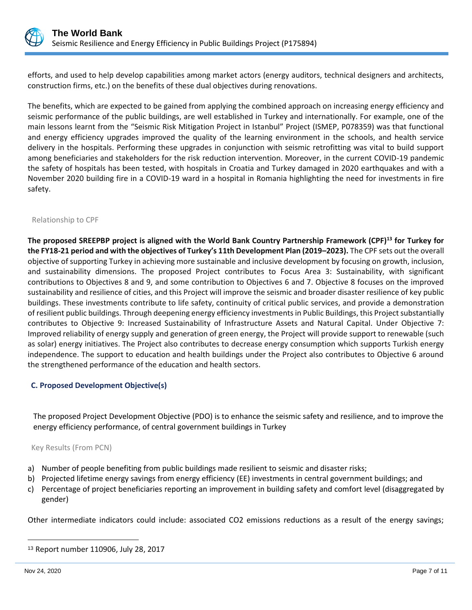

efforts, and used to help develop capabilities among market actors (energy auditors, technical designers and architects, construction firms, etc.) on the benefits of these dual objectives during renovations.

The benefits, which are expected to be gained from applying the combined approach on increasing energy efficiency and seismic performance of the public buildings, are well established in Turkey and internationally. For example, one of the main lessons learnt from the "Seismic Risk Mitigation Project in Istanbul" Project (ISMEP, P078359) was that functional and energy efficiency upgrades improved the quality of the learning environment in the schools, and health service delivery in the hospitals. Performing these upgrades in conjunction with seismic retrofitting was vital to build support among beneficiaries and stakeholders for the risk reduction intervention. Moreover, in the current COVID-19 pandemic the safety of hospitals has been tested, with hospitals in Croatia and Turkey damaged in 2020 earthquakes and with a November 2020 building fire in a COVID-19 ward in a hospital in Romania highlighting the need for investments in fire safety.

#### Relationship to CPF

**The proposed SREEPBP project is aligned with the World Bank Country Partnership Framework (CPF)<sup>13</sup> for Turkey for the FY18-21 period and with the objectives of Turkey's 11th Development Plan (2019–2023).** The CPF sets out the overall objective of supporting Turkey in achieving more sustainable and inclusive development by focusing on growth, inclusion, and sustainability dimensions. The proposed Project contributes to Focus Area 3: Sustainability, with significant contributions to Objectives 8 and 9, and some contribution to Objectives 6 and 7. Objective 8 focuses on the improved sustainability and resilience of cities, and this Project will improve the seismic and broader disaster resilience of key public buildings. These investments contribute to life safety, continuity of critical public services, and provide a demonstration of resilient public buildings. Through deepening energy efficiency investments in Public Buildings, this Project substantially contributes to Objective 9: Increased Sustainability of Infrastructure Assets and Natural Capital. Under Objective 7: Improved reliability of energy supply and generation of green energy, the Project will provide support to renewable (such as solar) energy initiatives. The Project also contributes to decrease energy consumption which supports Turkish energy independence. The support to education and health buildings under the Project also contributes to Objective 6 around the strengthened performance of the education and health sectors.

#### **C. Proposed Development Objective(s)**

The proposed Project Development Objective (PDO) is to enhance the seismic safety and resilience, and to improve the energy efficiency performance, of central government buildings in Turkey

#### Key Results (From PCN)

- a) Number of people benefiting from public buildings made resilient to seismic and disaster risks;
- b) Projected lifetime energy savings from energy efficiency (EE) investments in central government buildings; and
- c) Percentage of project beneficiaries reporting an improvement in building safety and comfort level (disaggregated by gender)

Other intermediate indicators could include: associated CO2 emissions reductions as a result of the energy savings;

<sup>13</sup> Report number 110906, July 28, 2017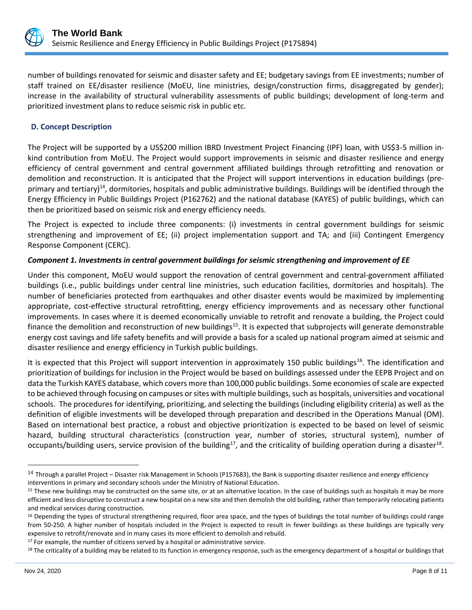

number of buildings renovated for seismic and disaster safety and EE; budgetary savings from EE investments; number of staff trained on EE/disaster resilience (MoEU, line ministries, design/construction firms, disaggregated by gender); increase in the availability of structural vulnerability assessments of public buildings; development of long-term and prioritized investment plans to reduce seismic risk in public etc.

#### **D. Concept Description**

The Project will be supported by a US\$200 million IBRD Investment Project Financing (IPF) loan, with US\$3-5 million inkind contribution from MoEU. The Project would support improvements in seismic and disaster resilience and energy efficiency of central government and central government affiliated buildings through retrofitting and renovation or demolition and reconstruction. It is anticipated that the Project will support interventions in education buildings (preprimary and tertiary)<sup>14</sup>, dormitories, hospitals and public administrative buildings. Buildings will be identified through the Energy Efficiency in Public Buildings Project (P162762) and the national database (KAYES) of public buildings, which can then be prioritized based on seismic risk and energy efficiency needs.

The Project is expected to include three components: (i) investments in central government buildings for seismic strengthening and improvement of EE; (ii) project implementation support and TA; and (iii) Contingent Emergency Response Component (CERC).

#### *Component 1. Investments in central government buildings for seismic strengthening and improvement of EE*

Under this component, MoEU would support the renovation of central government and central-government affiliated buildings (i.e., public buildings under central line ministries, such education facilities, dormitories and hospitals). The number of beneficiaries protected from earthquakes and other disaster events would be maximized by implementing appropriate, cost-effective structural retrofitting, energy efficiency improvements and as necessary other functional improvements. In cases where it is deemed economically unviable to retrofit and renovate a building, the Project could finance the demolition and reconstruction of new buildings<sup>15</sup>. It is expected that subprojects will generate demonstrable energy cost savings and life safety benefits and will provide a basis for a scaled up national program aimed at seismic and disaster resilience and energy efficiency in Turkish public buildings.

It is expected that this Project will support intervention in approximately 150 public buildings<sup>16</sup>. The identification and prioritization of buildings for inclusion in the Project would be based on buildings assessed under the EEPB Project and on data the Turkish KAYES database, which covers more than 100,000 public buildings. Some economies of scale are expected to be achieved through focusing on campuses or sites with multiple buildings, such as hospitals, universities and vocational schools. The procedures for identifying, prioritizing, and selecting the buildings (including eligibility criteria) as well as the definition of eligible investments will be developed through preparation and described in the Operations Manual (OM). Based on international best practice, a robust and objective prioritization is expected to be based on level of seismic hazard, building structural characteristics (construction year, number of stories, structural system), number of occupants/building users, service provision of the building<sup>17</sup>, and the criticality of building operation during a disaster<sup>18</sup>.

<sup>&</sup>lt;sup>14</sup> Through a parallel Project – Disaster risk Management in Schools (P157683), the Bank is supporting disaster resilience and energy efficiency interventions in primary and secondary schools under the Ministry of National Education.

<sup>&</sup>lt;sup>15</sup> These new buildings may be constructed on the same site, or at an alternative location. In the case of buildings such as hospitals it may be more efficient and less disruptive to construct a new hospital on a new site and then demolish the old building, rather than temporarily relocating patients and medical services during construction.

<sup>&</sup>lt;sup>16</sup> Depending the types of structural strengthening required, floor area space, and the types of buildings the total number of buildings could range from 50-250. A higher number of hospitals included in the Project is expected to result in fewer buildings as these buildings are typically very expensive to retrofit/renovate and in many cases its more efficient to demolish and rebuild.

<sup>&</sup>lt;sup>17</sup> For example, the number of citizens served by a hospital or administrative service.

<sup>&</sup>lt;sup>18</sup> The criticality of a building may be related to its function in emergency response, such as the emergency department of a hospital or buildings that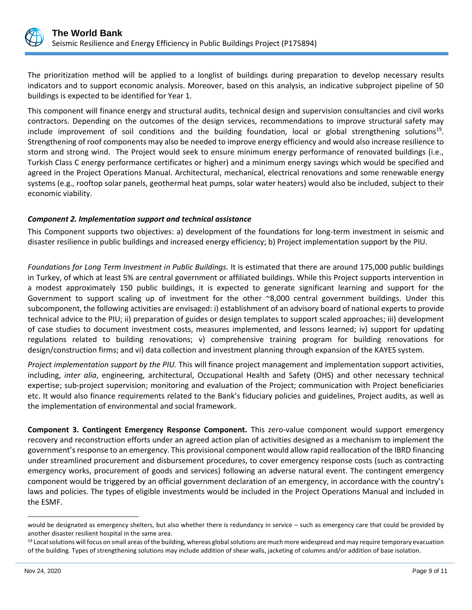

The prioritization method will be applied to a longlist of buildings during preparation to develop necessary results indicators and to support economic analysis. Moreover, based on this analysis, an indicative subproject pipeline of 50 buildings is expected to be identified for Year 1.

This component will finance energy and structural audits, technical design and supervision consultancies and civil works contractors. Depending on the outcomes of the design services, recommendations to improve structural safety may include improvement of soil conditions and the building foundation, local or global strengthening solutions<sup>19</sup>. Strengthening of roof components may also be needed to improve energy efficiency and would also increase resilience to storm and strong wind. The Project would seek to ensure minimum energy performance of renovated buildings (i.e., Turkish Class C energy performance certificates or higher) and a minimum energy savings which would be specified and agreed in the Project Operations Manual. Architectural, mechanical, electrical renovations and some renewable energy systems (e.g., rooftop solar panels, geothermal heat pumps, solar water heaters) would also be included, subject to their economic viability.

#### *Component 2. Implementation support and technical assistance*

This Component supports two objectives: a) development of the foundations for long-term investment in seismic and disaster resilience in public buildings and increased energy efficiency; b) Project implementation support by the PIU.

*Foundations for Long Term Investment in Public Buildings.* It is estimated that there are around 175,000 public buildings in Turkey, of which at least 5% are central government or affiliated buildings. While this Project supports intervention in a modest approximately 150 public buildings, it is expected to generate significant learning and support for the Government to support scaling up of investment for the other ~8,000 central government buildings. Under this subcomponent, the following activities are envisaged: i) establishment of an advisory board of national experts to provide technical advice to the PIU; ii) preparation of guides or design templates to support scaled approaches; iii) development of case studies to document investment costs, measures implemented, and lessons learned; iv) support for updating regulations related to building renovations; v) comprehensive training program for building renovations for design/construction firms; and vi) data collection and investment planning through expansion of the KAYES system.

*Project implementation support by the PIU.* This will finance project management and implementation support activities, including, *inter alia*, engineering, architectural, Occupational Health and Safety (OHS) and other necessary technical expertise; sub-project supervision; monitoring and evaluation of the Project; communication with Project beneficiaries etc. It would also finance requirements related to the Bank's fiduciary policies and guidelines, Project audits, as well as the implementation of environmental and social framework.

**Component 3. Contingent Emergency Response Component.** This zero-value component would support emergency recovery and reconstruction efforts under an agreed action plan of activities designed as a mechanism to implement the government's response to an emergency. This provisional component would allow rapid reallocation of the IBRD financing under streamlined procurement and disbursement procedures, to cover emergency response costs (such as contracting emergency works, procurement of goods and services) following an adverse natural event. The contingent emergency component would be triggered by an official government declaration of an emergency, in accordance with the country's laws and policies. The types of eligible investments would be included in the Project Operations Manual and included in the ESMF.

would be designated as emergency shelters, but also whether there is redundancy in service – such as emergency care that could be provided by another disaster resilient hospital in the same area.

<sup>&</sup>lt;sup>19</sup> Local solutions will focus on small areas of the building, whereas global solutions are much more widespread and may require temporary evacuation of the building. Types of strengthening solutions may include addition of shear walls, jacketing of columns and/or addition of base isolation.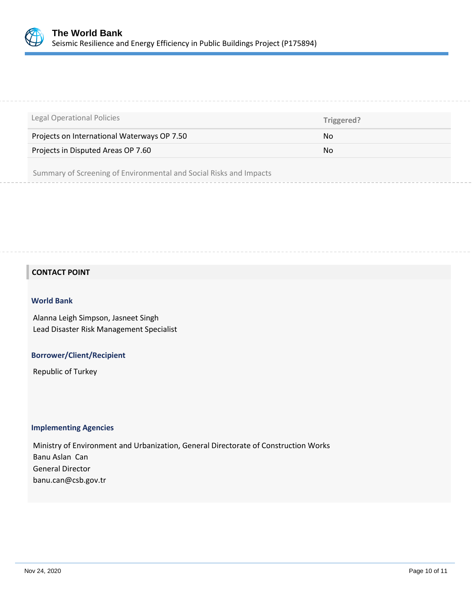

| Legal Operational Policies                  | Triggered? |
|---------------------------------------------|------------|
| Projects on International Waterways OP 7.50 | No.        |
| Projects in Disputed Areas OP 7.60          | No.        |
|                                             |            |

Summary of Screening of Environmental and Social Risks and Impacts

## **CONTACT POINT**

#### **World Bank**

Alanna Leigh Simpson, Jasneet Singh Lead Disaster Risk Management Specialist

#### **Borrower/Client/Recipient**

Republic of Turkey

#### **Implementing Agencies**

Ministry of Environment and Urbanization, General Directorate of Construction Works Banu Aslan Can General Director banu.can@csb.gov.tr